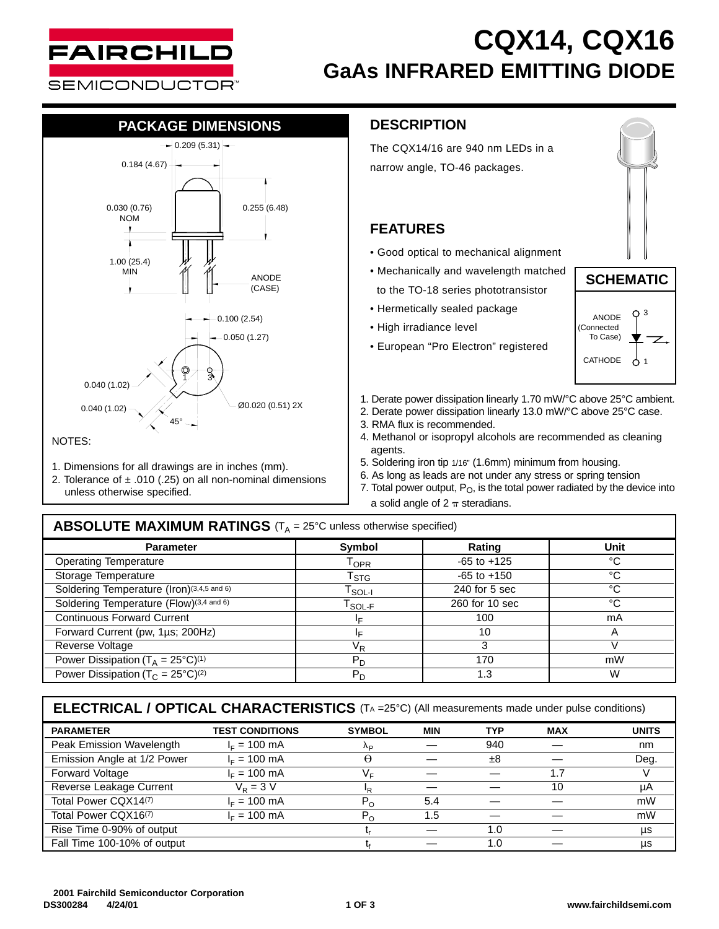

## **CQX14, CQX16 GaAs INFRARED EMITTING DIODE**

# **PACKAGE DIMENSIONS**



- 1. Dimensions for all drawings are in inches (mm).
- 2. Tolerance of  $\pm$  .010 (.25) on all non-nominal dimensions
- unless otherwise specified.

#### **DESCRIPTION**

The CQX14/16 are 940 nm LEDs in a narrow angle, TO-46 packages.

### **FEATURES**

- Good optical to mechanical alignment
- Mechanically and wavelength matched to the TO-18 series phototransistor
- Hermetically sealed package
- High irradiance level
- European "Pro Electron" registered





- Ø0.020 (0.51) 2X 1. Derate power dissipation linearly 1.70 mW/°C above 25°C ambient.
	- 2. Derate power dissipation linearly 13.0 mW/°C above 25°C case.
	- 3. RMA flux is recommended.
	- 4. Methanol or isopropyl alcohols are recommended as cleaning agents.
	- 5. Soldering iron tip 1/16" (1.6mm) minimum from housing.
	- 6. As long as leads are not under any stress or spring tension
	- 7. Total power output,  $P_O$ , is the total power radiated by the device into a solid angle of  $2 \pi$  steradians.

#### **ABSOLUTE MAXIMUM RATINGS** (T<sub>A</sub> = 25°C unless otherwise specified)

| <b>Parameter</b>                                         | Symbol                                        | Rating          | Unit |  |
|----------------------------------------------------------|-----------------------------------------------|-----------------|------|--|
| <b>Operating Temperature</b>                             | $\mathsf{T}_{\mathsf{OPR}}$                   | $-65$ to $+125$ | °C   |  |
| Storage Temperature                                      | $T_{\rm STG}$                                 | $-65$ to $+150$ | °C   |  |
| Soldering Temperature (Iron)(3,4,5 and 6)                | $\mathsf{T}_{\mathsf{SOL-I}}$                 | $240$ for 5 sec | °C   |  |
| Soldering Temperature (Flow)(3,4 and 6)                  | $\mathsf{T}_{\mathsf{SOL}\text{-}\mathsf{F}}$ | 260 for 10 sec  | °C   |  |
| <b>Continuous Forward Current</b>                        |                                               | 100             | mA   |  |
| Forward Current (pw, 1µs; 200Hz)                         |                                               | 10              |      |  |
| Reverse Voltage                                          | V <sub>R</sub>                                | 3               |      |  |
| Power Dissipation ( $T_A = 25^{\circ}C$ ) <sup>(1)</sup> | $P_D$                                         | 170             | mW   |  |
| Power Dissipation ( $T_c = 25^{\circ}C^{(2)}$            | $P_D$                                         | 1.3             | W    |  |

### **ELECTRICAL / OPTICAL CHARACTERISTICS** (TA =25°C) (All measurements made under pulse conditions)

| <b>PARAMETER</b>                 | <b>TEST CONDITIONS</b> | <b>SYMBOL</b> | <b>MIN</b> | <b>TYP</b> | <b>MAX</b> | <b>UNITS</b> |
|----------------------------------|------------------------|---------------|------------|------------|------------|--------------|
| Peak Emission Wavelength         | $I_F = 100 \text{ mA}$ | Λp            |            | 940        |            | nm           |
| Emission Angle at 1/2 Power      | $I_F = 100 \text{ mA}$ | θ             |            | ±8         |            | Deg.         |
| Forward Voltage                  | $I_F = 100$ mA         | V⊧            |            |            | 1.7        |              |
| Reverse Leakage Current          | $V_{\rm P}$ = 3 V      | ΙR.           |            |            | 10         | μA           |
| Total Power CQX14 <sup>(7)</sup> | $I_F = 100$ mA         | $P_{\Omega}$  | 5.4        |            |            | mW           |
| Total Power CQX16(7)             | $IE = 100$ mA          | $P_{O}$       | 1.5        |            |            | mW           |
| Rise Time 0-90% of output        |                        |               |            | 1.0        |            | μs           |
| Fall Time 100-10% of output      |                        |               |            | 1.0        |            | μs           |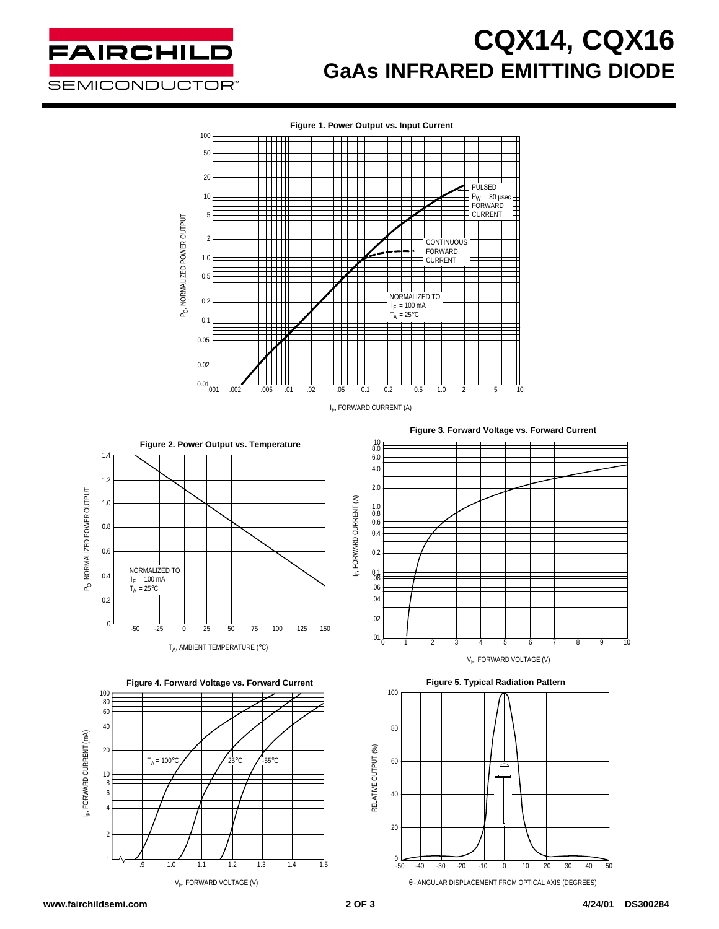

## **CQX14, CQX16 GaAs INFRARED EMITTING DIODE**



귵

**Figure 2. Power Output vs. Temperature** 1.4 1.2 P<sub>O</sub>, NORMALIZED POWER OUTPUT PO, NORMALIZED POWER OUTPUT 1.0 0.8 0.6 NORMALIZED TO 0.4  $I_F = 100$  mA  $T_A = 25$ °C 0.2  $\theta$ -50 25 50 75 100 125 -25 0 25 50 75 100 125 150

T<sub>A</sub>, AMBIENT TEMPERATURE (°C)





**Figure 3. Forward Voltage vs. Forward Current**